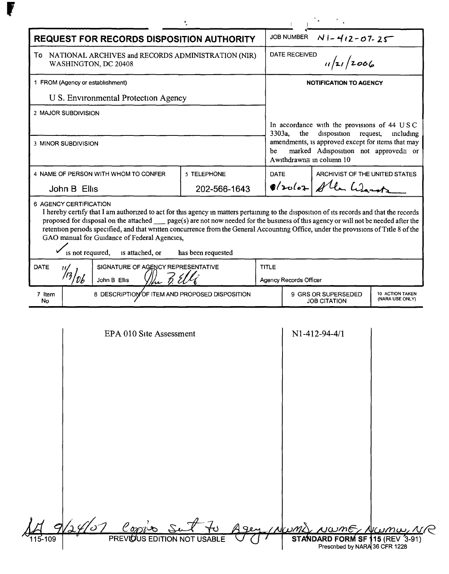| <b>REQUEST FOR RECORDS DISPOSITION AUTHORITY</b>                                                                                                                                                                                                                                                                                                                                                                                                                                                                                                                              |                                    |             | <b>JOB NUMBER</b><br>$N1 - 412 - 07 - 25$                                                                                                                                                                                         |                                            |                                    |  |
|-------------------------------------------------------------------------------------------------------------------------------------------------------------------------------------------------------------------------------------------------------------------------------------------------------------------------------------------------------------------------------------------------------------------------------------------------------------------------------------------------------------------------------------------------------------------------------|------------------------------------|-------------|-----------------------------------------------------------------------------------------------------------------------------------------------------------------------------------------------------------------------------------|--------------------------------------------|------------------------------------|--|
| To NATIONAL ARCHIVES and RECORDS ADMINISTRATION (NIR)<br>WASHINGTON, DC 20408                                                                                                                                                                                                                                                                                                                                                                                                                                                                                                 |                                    |             | <b>DATE RECEIVED</b><br>1/21/2006                                                                                                                                                                                                 |                                            |                                    |  |
| 1 FROM (Agency or establishment)                                                                                                                                                                                                                                                                                                                                                                                                                                                                                                                                              |                                    |             | <b>NOTIFICATION TO AGENCY</b>                                                                                                                                                                                                     |                                            |                                    |  |
| U S. Environmental Protection Agency                                                                                                                                                                                                                                                                                                                                                                                                                                                                                                                                          |                                    |             |                                                                                                                                                                                                                                   |                                            |                                    |  |
| 2 MAJOR SUBDIVISION                                                                                                                                                                                                                                                                                                                                                                                                                                                                                                                                                           |                                    |             |                                                                                                                                                                                                                                   |                                            |                                    |  |
| 3 MINOR SUBDIVISION                                                                                                                                                                                                                                                                                                                                                                                                                                                                                                                                                           |                                    | be          | In accordance with the provisions of 44 USC<br>3303a,<br>the<br>disposition request,<br>including<br>amendments, is approved except for items that may<br>marked Adisposition not approved≅ or<br>Awithdrawn $\cong$ in column 10 |                                            |                                    |  |
| 4 NAME OF PERSON WITH WHOM TO CONFER                                                                                                                                                                                                                                                                                                                                                                                                                                                                                                                                          | 5 TELEPHONE                        | <b>DATE</b> |                                                                                                                                                                                                                                   | ARCHIVIST OF THE UNITED STATES             |                                    |  |
| John B Ellis                                                                                                                                                                                                                                                                                                                                                                                                                                                                                                                                                                  | 202-566-1643                       |             |                                                                                                                                                                                                                                   | 8/20102 Allen Warntz                       |                                    |  |
| 6 AGENCY CERTIFICATION<br>I hereby certify that I am authorized to act for this agency in matters pertaining to the disposition of its records and that the records<br>proposed for disposal on the attached <u>operation</u> page(s) are not now needed for the business of this agency or will not be needed after the<br>retention periods specified, and that written concurrence from the General Accounting Office, under the provisions of Title 8 of the<br>GAO manual for Guidance of Federal Agencies,<br>is not required,<br>is attached, or<br>has been requested |                                    |             |                                                                                                                                                                                                                                   |                                            |                                    |  |
| <b>DATE</b>                                                                                                                                                                                                                                                                                                                                                                                                                                                                                                                                                                   | SIGNATURE OF AGENCY REPRESENTATIVE |             | <b>TITLE</b>                                                                                                                                                                                                                      |                                            |                                    |  |
| 11/2 7. El<br>John B Ellis                                                                                                                                                                                                                                                                                                                                                                                                                                                                                                                                                    |                                    |             | Agency Records Officer                                                                                                                                                                                                            |                                            |                                    |  |
| 8 DESCRIPTION OF ITEM AND PROPOSED DISPOSITION<br>7 Item<br>No                                                                                                                                                                                                                                                                                                                                                                                                                                                                                                                |                                    |             |                                                                                                                                                                                                                                   | 9 GRS OR SUPERSEDED<br><b>JOB CITATION</b> | 10 ACTION TAKEN<br>(NARA USE ONLY) |  |
| EPA 010 Site Assessment                                                                                                                                                                                                                                                                                                                                                                                                                                                                                                                                                       |                                    |             |                                                                                                                                                                                                                                   | N1-412-94-4/1                              |                                    |  |

| Copies<br>24107<br>PREVIOUS EDITION NOT USABLE<br>115-109 | Agey (NWM) NWME, NWMW, NR<br>STANDARD FORM SF 115 (REV 3-91)<br>Prescribed by NARA 36 CFR 1228 |  |
|-----------------------------------------------------------|------------------------------------------------------------------------------------------------|--|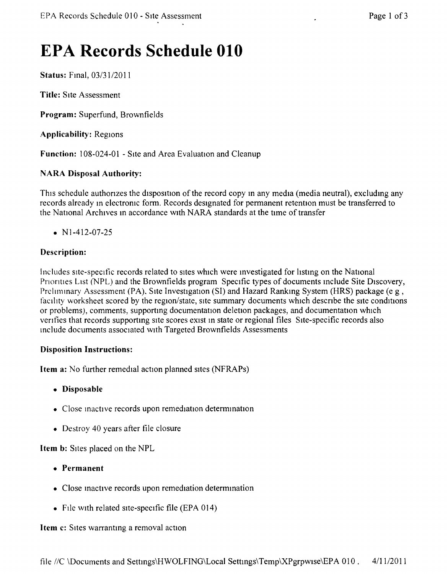# **EPA Records Schedule 010**

Status: Fmal, *03/3112011*

Title: SIte Assessment

Program: Superfund, Brownfields

Applicability: Regions

Function: 108-024-01 - Site and Area Evaluation and Cleanup

# NARA Disposal Authority:

This schedule authorizes the disposition of the record copy in any media (media neutral), excluding any records already in electronic form. Records designated for permanent retention must be transferred to the National Archives m accordance with NARA standards at the time of transfer

•  $N1-412-07-25$ 

# Description:

Includes site-specific records related to sites which were investigated for hstmg on the National Priorities List (NPL) and the Brownfields program Specific types of documents include Site Discovery, Preliminary Assessment (PA), Site Investigation (SI) and Hazard Ranking System (HRS) package (e g, facility worksheet scored by the region/state, site summary documents which describe the site conditions or problems), comments, supporting documentation deletion packages, and documentation which verifies that records supporting site scores exist in state or regional files Site-specific records also include documents associated with Targeted Brownfields Assessments

# Disposition Instructions:

Item a: No further remedial action planned sites (NFRAPs)

- Disposable
- Close inactive records upon remediation determination
- Destroy 40 years after file closure

Item b: Sites placed on the NPL

- Permanent
- Close mactive records upon remediation determination
- File with related site-specific file (EPA 014)

#### **Item c:** Sites warranting a removal action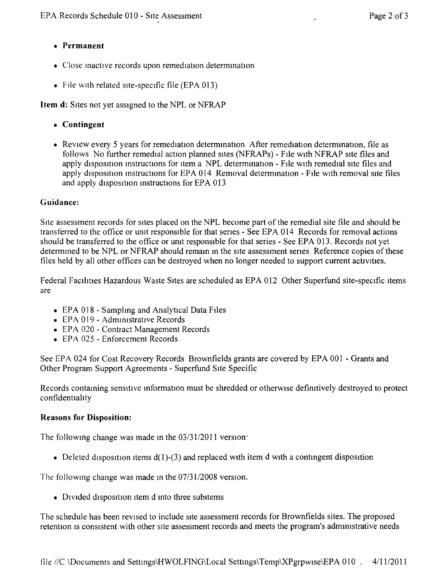- **• Permanent**
- Close inactive records upon remediation determination
- File with related site-specific file (EPA 013)

**Item d:** Sites not yet assigned to the NPL or NFRAP

- **• Contingent**
- Review every 5 years for remediation determination After remediation determination, file as follows No further remedial action planned sites (NFRAPs) - File with NFRAP SIte files and apply disposition instructions for item a NPL determination - File with remedial site files and apply disposition instructions for EPA 014 Removal determination - File with removal site files and apply disposition instructions for EPA 013

# **Guidance:**

Site assessment records for sites placed on the NPL become part of the remedial site file and should be transferred to the office or unit responsible for that senes - See EPA 014 Records for removal actions should be transferred to the office or unit responsible for that series - See EPA 013. Records not yet determined to be NPL or NFRAP should remain in the site assessment series Reference copies of these files held by all other offices can be destroyed when no longer needed to support current activities.

Federal Facilities Hazardous Waste Sites are scheduled as EPA 012 Other Superfund site-specific items are

- EPA 018 Sampling and Analytical Data Files
- EPA 019 Administrative Records
- EPA 020 Contract Management Records
- EPA 025 Enforcement Records

See EPA 024 for Cost Recovery Records Brownfields grants are covered by EPA 001 - Grants and Other Program Support Agreements - Superfund Site Specific

Records containing sensitive information must be shredded or otherwise definitively destroyed to protect confidentiahty

# **Reasons for Disposition:**

The followmg change was made in the *03/3112011* version:

• Deleted disposition items  $d(1)$ -(3) and replaced with item d with a contingent disposition

The following change was made in the *07/3112008* version,

• Divided disposition item d into three subitems

The schedule has been revised to include site assessment records for Brownfields sites. The proposed retention is consistent with other site assessment records and meets the program's administrative needs